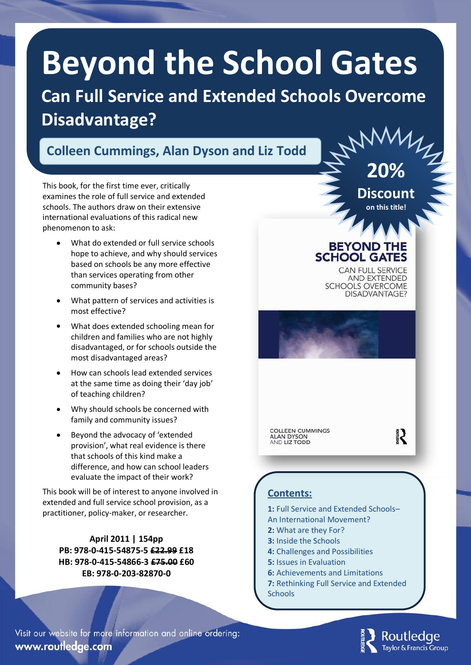# **Beyond the School Gates**

**Can Full Service and Extended Schools Overcome Disadvantage?**

## **Colleen Cummings, Alan Dyson and Liz Todd**

This book, for the first time ever, critically examines the role of full service and extended schools. The authors draw on their extensive international evaluations of this radical new phenomenon to ask:

- What do extended or full service schools hope to achieve, and why should services based on schools be any more effective than services operating from other community bases?
- What pattern of services and activities is most effective?
- What does extended schooling mean for children and families who are not highly disadvantaged, or for schools outside the most disadvantaged areas?
- How can schools lead extended services at the same time as doing their 'day job' of teaching children?
- Why should schools be concerned with family and community issues?
- Beyond the advocacy of 'extended provision', what real evidence is there that schools of this kind make a difference, and how can school leaders evaluate the impact of their work?

This book will be of interest to anyone involved in extended and full service school provision, as a practitioner, policy-maker, or researcher.

**April 2011 | 154pp PB: 978-0-415-54875-5 £22.99 £18 HB: 978-0-415-54866-3 £75.00 £60 EB: 978-0-203-82870-0**

**on this title!**

**20%**

**Discount**

### **BEYOND THE SCHOOL GATES**

**CAN FULL SERVICE AND EXTENDED SCHOOLS OVERCOME** DISADVANTAGE?

**COLLEEN CUMMINGS** ALAN DYSON<br>AND LIZ TODD

**September** 

### **Contents:**

**1:** Full Service and Extended Schools– An International Movement?

- **2:** What are they For?
- **3:** Inside the Schools
- **4:** Challenges and Possibilities
- **5:** Issues in Evaluation
- **6:** Achievements and Limitations
- **7:** Rethinking Full Service and Extended **Schools**

Visit our website for more information and online ordering: www.routledge.com